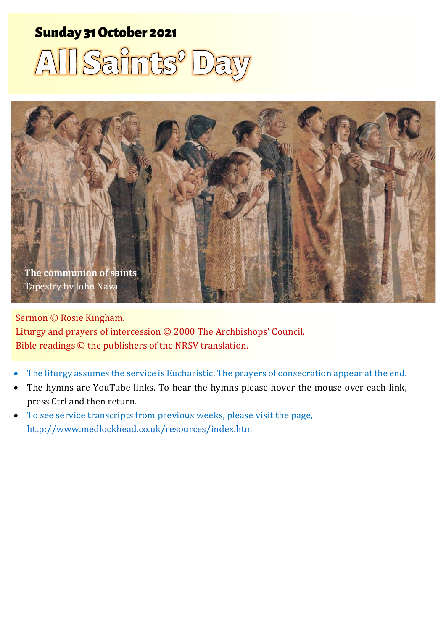# sunday 31 October 2021 1 All Saints' Day 2014 1 All Saints' Day 2014 1 All Saints Street Andrew Street Andrew

# All Saints' Da



Sermon © Rosie Kingham. Liturgy and prayers of intercession © 2000 The Archbishops' Council. Bible readings © the publishers of the NRSV translation.

- The liturgy assumes the service is Eucharistic. The prayers of consecration appear at the end.
- The hymns are YouTube links. To hear the hymns please hover the mouse over each link, press Ctrl and then return.
- To see service transcripts from previous weeks, please visit the page, <http://www.medlockhead.co.uk/resources/index.htm>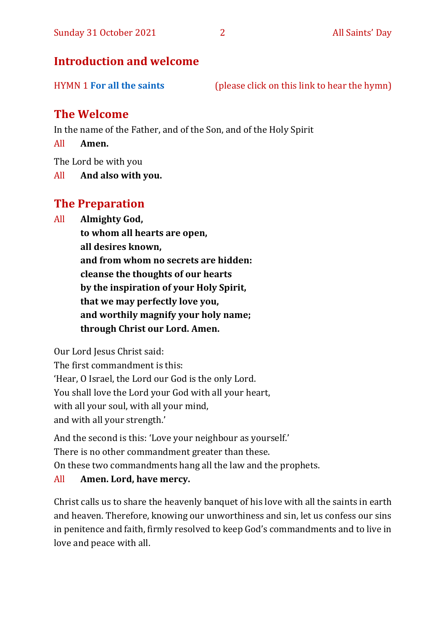# **Introduction and welcome**

| <b>HYMN 1 For all the saints</b> | (please click on this link to hear the hymn) |
|----------------------------------|----------------------------------------------|
|----------------------------------|----------------------------------------------|

# **The Welcome**

In the name of the Father, and of the Son, and of the Holy Spirit

All **Amen.**

The Lord be with you

All **And also with you.**

# **The Preparation**

All **Almighty God,**

**to whom all hearts are open, all desires known, and from whom no secrets are hidden: cleanse the thoughts of our hearts by the inspiration of your Holy Spirit, that we may perfectly love you, and worthily magnify your holy name; through Christ our Lord. Amen.**

Our Lord Jesus Christ said:

The first commandment is this: 'Hear, O Israel, the Lord our God is the only Lord. You shall love the Lord your God with all your heart, with all your soul, with all your mind, and with all your strength.'

And the second is this: 'Love your neighbour as yourself.' There is no other commandment greater than these. On these two commandments hang all the law and the prophets.

#### All **Amen. Lord, have mercy.**

Christ calls us to share the heavenly banquet of his love with all the saints in earth and heaven. Therefore, knowing our unworthiness and sin, let us confess our sins in penitence and faith, firmly resolved to keep God's commandments and to live in love and peace with all.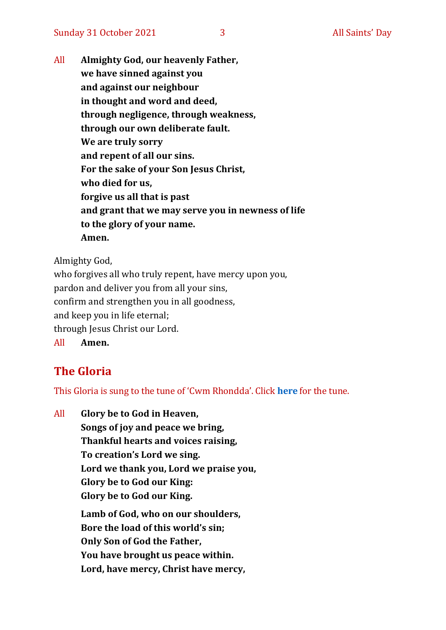All **Almighty God, our heavenly Father, we have sinned against you and against our neighbour in thought and word and deed, through negligence, through weakness, through our own deliberate fault. We are truly sorry and repent of all our sins. For the sake of your Son Jesus Christ, who died for us, forgive us all that is past and grant that we may serve you in newness of life to the glory of your name. Amen.**

Almighty God,

who forgives all who truly repent, have mercy upon you, pardon and deliver you from all your sins, confirm and strengthen you in all goodness, and keep you in life eternal; through Jesus Christ our Lord. All **Amen.**

# **The Gloria**

This Gloria is sung to the tune of 'Cwm Rhondda'. Click **[here](about:blank)** for the tune.

All **Glory be to God in Heaven, Songs of joy and peace we bring, Thankful hearts and voices raising, To creation's Lord we sing. Lord we thank you, Lord we praise you, Glory be to God our King: Glory be to God our King. Lamb of God, who on our shoulders, Bore the load of this world's sin; Only Son of God the Father, You have brought us peace within. Lord, have mercy, Christ have mercy,**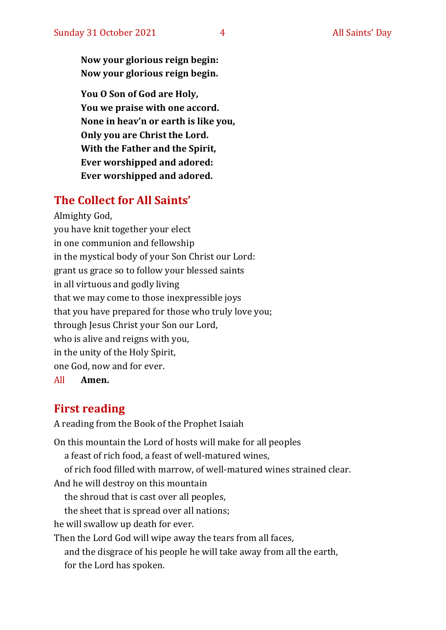**Now your glorious reign begin: Now your glorious reign begin.**

**You O Son of God are Holy, You we praise with one accord. None in heav'n or earth is like you, Only you are Christ the Lord. With the Father and the Spirit, Ever worshipped and adored: Ever worshipped and adored.**

# **The Collect for All Saints'**

Almighty God, you have knit together your elect in one communion and fellowship in the mystical body of your Son Christ our Lord: grant us grace so to follow your blessed saints in all virtuous and godly living that we may come to those inexpressible joys that you have prepared for those who truly love you; through Jesus Christ your Son our Lord, who is alive and reigns with you, in the unity of the Holy Spirit, one God, now and for ever. All **Amen.**

# **First reading**

A reading from the Book of the Prophet Isaiah

On this mountain the Lord of hosts will make for all peoples a feast of rich food, a feast of well-matured wines, of rich food filled with marrow, of well-matured wines strained clear. And he will destroy on this mountain the shroud that is cast over all peoples, the sheet that is spread over all nations; he will swallow up death for ever. Then the Lord God will wipe away the tears from all faces, and the disgrace of his people he will take away from all the earth, for the Lord has spoken.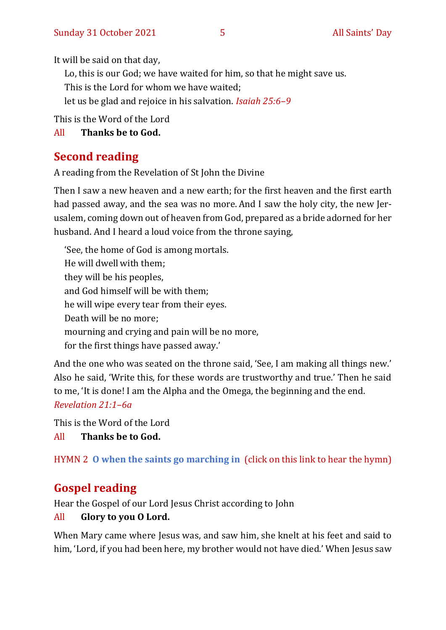It will be said on that day,

Lo, this is our God; we have waited for him, so that he might save us.

This is the Lord for whom we have waited;

let us be glad and rejoice in his salvation. *Isaiah 25:6–9*

This is the Word of the Lord

All **Thanks be to God.**

# **Second reading**

A reading from the Revelation of St John the Divine

Then I saw a new heaven and a new earth; for the first heaven and the first earth had passed away, and the sea was no more. And I saw the holy city, the new Jerusalem, coming down out of heaven from God, prepared as a bride adorned for her husband. And I heard a loud voice from the throne saying,

'See, the home of God is among mortals. He will dwell with them; they will be his peoples, and God himself will be with them; he will wipe every tear from their eyes. Death will be no more; mourning and crying and pain will be no more, for the first things have passed away.'

And the one who was seated on the throne said, 'See, I am making all things new.' Also he said, 'Write this, for these words are trustworthy and true.' Then he said to me, 'It is done! I am the Alpha and the Omega, the beginning and the end. *Revelation 21:1–6a*

This is the Word of the Lord

All **Thanks be to God.**

HYMN 2 **[O when the saints go marching in](https://youtu.be/advlnJPEbEw)** (click on this link to hear the hymn)

# **Gospel reading**

Hear the Gospel of our Lord Jesus Christ according to John

## All **Glory to you O Lord.**

When Mary came where Jesus was, and saw him, she knelt at his feet and said to him, 'Lord, if you had been here, my brother would not have died.' When Jesus saw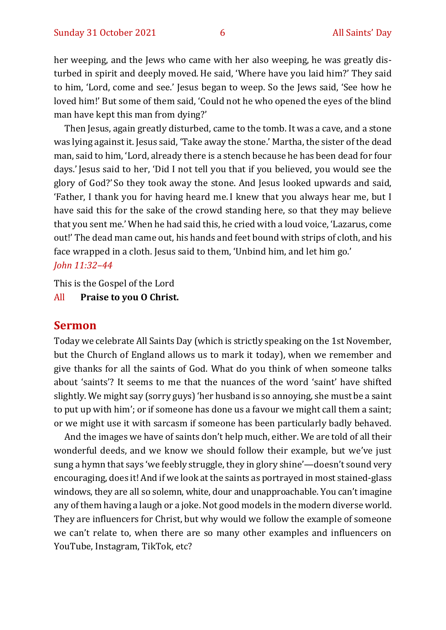her weeping, and the Jews who came with her also weeping, he was greatly disturbed in spirit and deeply moved.He said, 'Where have you laid him?' They said to him, 'Lord, come and see.' Jesus began to weep. So the Jews said, 'See how he loved him!' But some of them said, 'Could not he who opened the eyes of the blind man have kept this man from dying?'

Then Jesus, again greatly disturbed, came to the tomb. It was a cave, and a stone was lying against it.Jesus said, 'Take away the stone.' Martha, the sister of the dead man, said to him, 'Lord, already there is a stench because he has been dead for four days.'Jesus said to her, 'Did I not tell you that if you believed, you would see the glory of God?' So they took away the stone. And Jesus looked upwards and said, 'Father, I thank you for having heard me. I knew that you always hear me, but I have said this for the sake of the crowd standing here, so that they may believe that you sent me.' When he had said this, he cried with a loud voice, 'Lazarus, come out!' The dead man came out, his hands and feet bound with strips of cloth, and his face wrapped in a cloth. Jesus said to them, 'Unbind him, and let him go.' *John 11:32–44*

This is the Gospel of the Lord

All **Praise to you O Christ.** 

#### **Sermon**

Today we celebrate All Saints Day (which is strictly speaking on the 1st November, but the Church of England allows us to mark it today), when we remember and give thanks for all the saints of God. What do you think of when someone talks about 'saints'? It seems to me that the nuances of the word 'saint' have shifted slightly. We might say (sorry guys) 'her husband is so annoying, she must be a saint to put up with him'; or if someone has done us a favour we might call them a saint; or we might use it with sarcasm if someone has been particularly badly behaved.

And the images we have of saints don't help much, either. We are told of all their wonderful deeds, and we know we should follow their example, but we've just sung a hymn that says 'we feebly struggle, they in glory shine'—doesn't sound very encouraging, does it! And if we look at the saints as portrayed in most stained-glass windows, they are all so solemn, white, dour and unapproachable. You can't imagine any of them having a laugh or a joke. Not good models in the modern diverse world. They are influencers for Christ, but why would we follow the example of someone we can't relate to, when there are so many other examples and influencers on YouTube, Instagram, TikTok, etc?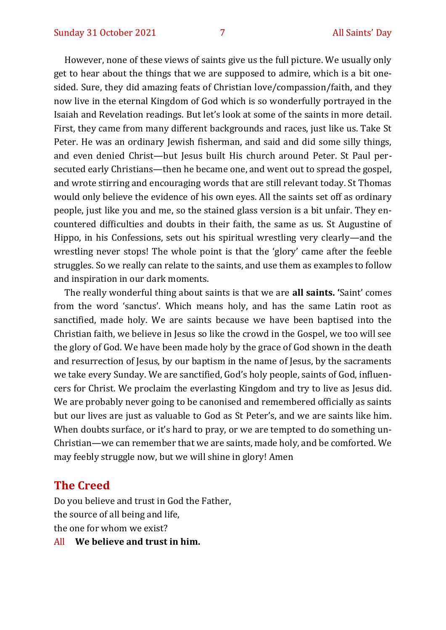However, none of these views of saints give us the full picture. We usually only get to hear about the things that we are supposed to admire, which is a bit onesided. Sure, they did amazing feats of Christian love/compassion/faith, and they now live in the eternal Kingdom of God which is so wonderfully portrayed in the Isaiah and Revelation readings. But let's look at some of the saints in more detail. First, they came from many different backgrounds and races, just like us. Take St Peter. He was an ordinary Jewish fisherman, and said and did some silly things, and even denied Christ—but Jesus built His church around Peter. St Paul persecuted early Christians—then he became one, and went out to spread the gospel, and wrote stirring and encouraging words that are still relevant today. St Thomas would only believe the evidence of his own eyes. All the saints set off as ordinary people, just like you and me, so the stained glass version is a bit unfair. They encountered difficulties and doubts in their faith, the same as us. St Augustine of Hippo, in his Confessions, sets out his spiritual wrestling very clearly—and the wrestling never stops! The whole point is that the 'glory' came after the feeble struggles. So we really can relate to the saints, and use them as examples to follow and inspiration in our dark moments.

The really wonderful thing about saints is that we are **all saints. '**Saint' comes from the word 'sanctus'. Which means holy, and has the same Latin root as sanctified, made holy. We are saints because we have been baptised into the Christian faith, we believe in Jesus so like the crowd in the Gospel, we too will see the glory of God. We have been made holy by the grace of God shown in the death and resurrection of Jesus, by our baptism in the name of Jesus, by the sacraments we take every Sunday. We are sanctified, God's holy people, saints of God, influencers for Christ. We proclaim the everlasting Kingdom and try to live as Jesus did. We are probably never going to be canonised and remembered officially as saints but our lives are just as valuable to God as St Peter's, and we are saints like him. When doubts surface, or it's hard to pray, or we are tempted to do something un-Christian—we can remember that we are saints, made holy, and be comforted. We may feebly struggle now, but we will shine in glory! Amen

#### **The Creed**

Do you believe and trust in God the Father, the source of all being and life, the one for whom we exist?

All **We believe and trust in him.**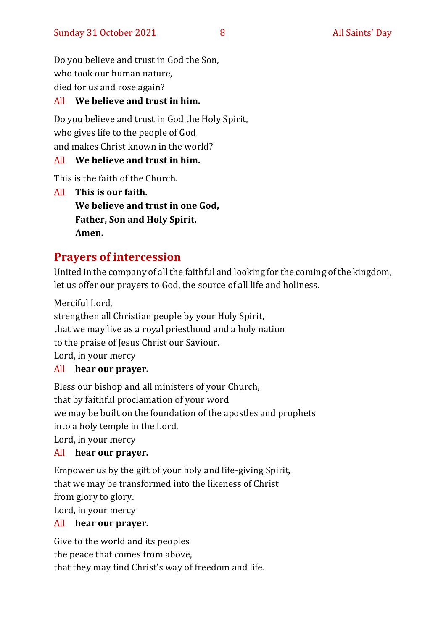Do you believe and trust in God the Son, who took our human nature, died for us and rose again?

#### All **We believe and trust in him.**

Do you believe and trust in God the Holy Spirit, who gives life to the people of God and makes Christ known in the world?

#### All **We believe and trust in him.**

This is the faith of the Church.

All **This is our faith. We believe and trust in one God, Father, Son and Holy Spirit. Amen.**

# **Prayers of intercession**

United in the company of all the faithful and looking for the coming of the kingdom, let us offer our prayers to God, the source of all life and holiness.

Merciful Lord, strengthen all Christian people by your Holy Spirit, that we may live as a royal priesthood and a holy nation to the praise of Jesus Christ our Saviour. Lord, in your mercy

#### All **hear our prayer.**

Bless our bishop and all ministers of your Church, that by faithful proclamation of your word we may be built on the foundation of the apostles and prophets into a holy temple in the Lord. Lord, in your mercy

#### All **hear our prayer.**

Empower us by the gift of your holy and life-giving Spirit, that we may be transformed into the likeness of Christ from glory to glory. Lord, in your mercy

#### All **hear our prayer.**

Give to the world and its peoples the peace that comes from above, that they may find Christ's way of freedom and life.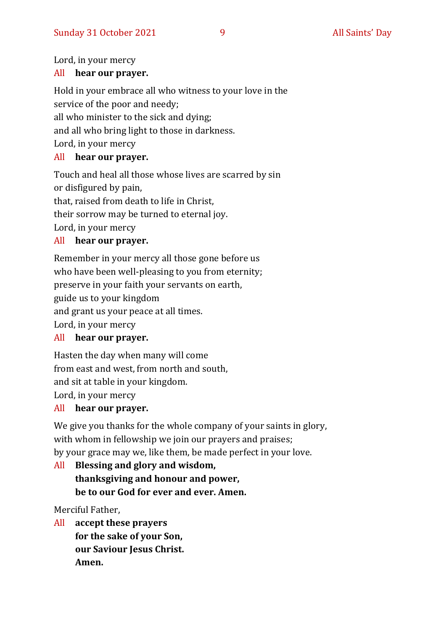Lord, in your mercy

#### All **hear our prayer.**

Hold in your embrace all who witness to your love in the service of the poor and needy; all who minister to the sick and dying; and all who bring light to those in darkness. Lord, in your mercy

#### All **hear our prayer.**

Touch and heal all those whose lives are scarred by sin or disfigured by pain, that, raised from death to life in Christ, their sorrow may be turned to eternal joy. Lord, in your mercy

#### All **hear our prayer.**

Remember in your mercy all those gone before us who have been well-pleasing to you from eternity; preserve in your faith your servants on earth, guide us to your kingdom and grant us your peace at all times. Lord, in your mercy

#### All **hear our prayer.**

Hasten the day when many will come from east and west, from north and south, and sit at table in your kingdom.

Lord, in your mercy

#### All **hear our prayer.**

We give you thanks for the whole company of your saints in glory, with whom in fellowship we join our prayers and praises; by your grace may we, like them, be made perfect in your love.

All **Blessing and glory and wisdom, thanksgiving and honour and power, be to our God for ever and ever. Amen.**

Merciful Father,

All **accept these prayers for the sake of your Son, our Saviour Jesus Christ. Amen.**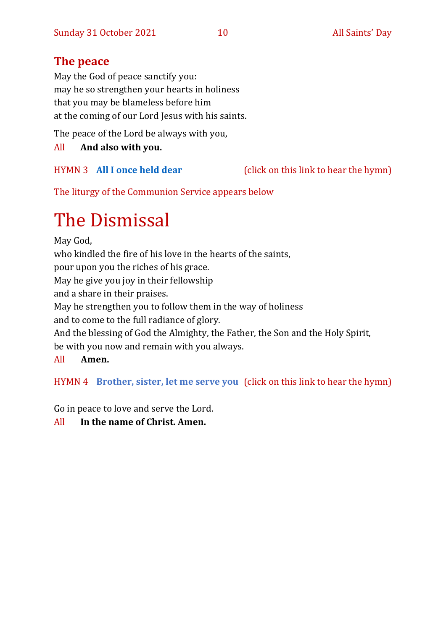# **The peace**

May the God of peace sanctify you: may he so strengthen your hearts in holiness that you may be blameless before him at the coming of our Lord Jesus with his saints.

The peace of the Lord be always with you,

#### All **And also with you.**

HYMN 3 **[All I once held dear](https://www.youtube.com/watch?v=oxpPIa-BskY)** (click on this link to hear the hymn)

The liturgy of the Communion Service appears below

# The Dismissal

May God, who kindled the fire of his love in the hearts of the saints, pour upon you the riches of his grace. May he give you joy in their fellowship and a share in their praises. May he strengthen you to follow them in the way of holiness and to come to the full radiance of glory. And the blessing of God the Almighty, the Father, the Son and the Holy Spirit, be with you now and remain with you always. All **Amen.**

HYMN 4 **[Brother, sister, let me serve you](https://youtu.be/hlNoxoOocZs)** (click on this link to hear the hymn)

Go in peace to love and serve the Lord.

All **In the name of Christ. Amen.**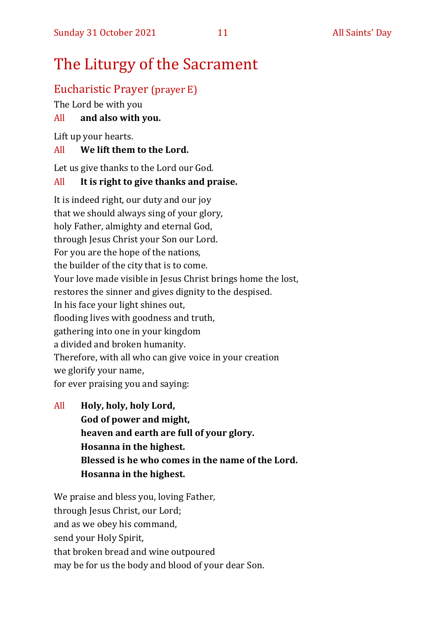# The Liturgy of the Sacrament

# Eucharistic Prayer (prayer E)

The Lord be with you

#### All **and also with you.**

Lift up your hearts.

#### All **We lift them to the Lord.**

Let us give thanks to the Lord our God.

#### All **It is right to give thanks and praise.**

It is indeed right, our duty and our joy that we should always sing of your glory, holy Father, almighty and eternal God, through Jesus Christ your Son our Lord. For you are the hope of the nations, the builder of the city that is to come. Your love made visible in Jesus Christ brings home the lost, restores the sinner and gives dignity to the despised. In his face your light shines out, flooding lives with goodness and truth, gathering into one in your kingdom a divided and broken humanity. Therefore, with all who can give voice in your creation we glorify your name, for ever praising you and saying:

All **Holy, holy, holy Lord, God of power and might, heaven and earth are full of your glory. Hosanna in the highest. Blessed is he who comes in the name of the Lord. Hosanna in the highest.**

We praise and bless you, loving Father, through Jesus Christ, our Lord; and as we obey his command, send your Holy Spirit, that broken bread and wine outpoured may be for us the body and blood of your dear Son.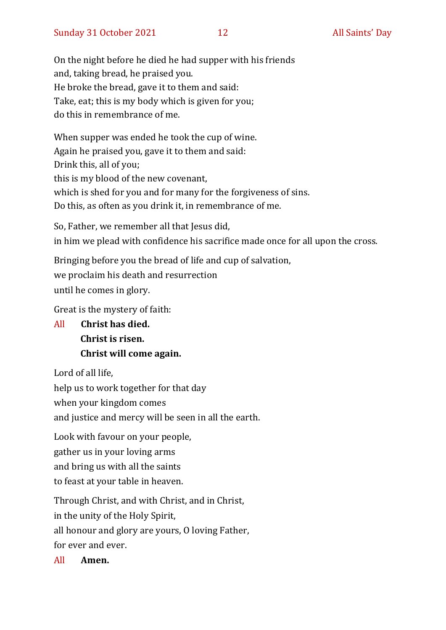On the night before he died he had supper with his friends and, taking bread, he praised you. He broke the bread, gave it to them and said: Take, eat; this is my body which is given for you; do this in remembrance of me.

When supper was ended he took the cup of wine. Again he praised you, gave it to them and said: Drink this, all of you; this is my blood of the new covenant, which is shed for you and for many for the forgiveness of sins. Do this, as often as you drink it, in remembrance of me.

So, Father, we remember all that Jesus did, in him we plead with confidence his sacrifice made once for all upon the cross.

Bringing before you the bread of life and cup of salvation,

we proclaim his death and resurrection

until he comes in glory.

Great is the mystery of faith:

All **Christ has died. Christ is risen. Christ will come again.**

Lord of all life,

help us to work together for that day

when your kingdom comes

and justice and mercy will be seen in all the earth.

Look with favour on your people, gather us in your loving arms and bring us with all the saints to feast at your table in heaven.

Through Christ, and with Christ, and in Christ, in the unity of the Holy Spirit, all honour and glory are yours, O loving Father, for ever and ever.

All **Amen.**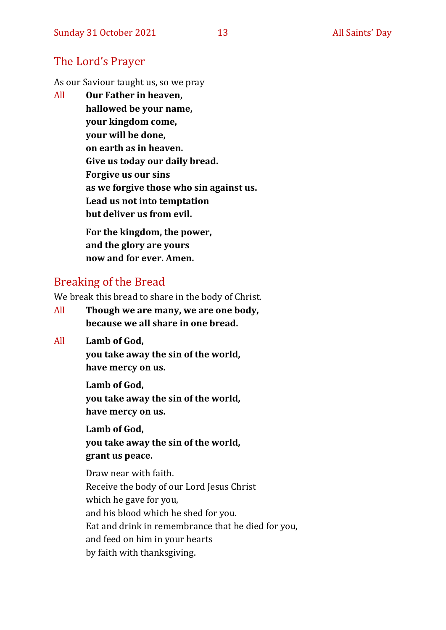## The Lord's Prayer

As our Saviour taught us, so we pray

All **Our Father in heaven, hallowed be your name, your kingdom come, your will be done, on earth as in heaven. Give us today our daily bread. Forgive us our sins as we forgive those who sin against us. Lead us not into temptation but deliver us from evil. For the kingdom, the power,** 

**and the glory are yours now and for ever. Amen.**

# Breaking of the Bread

We break this bread to share in the body of Christ.

- All **Though we are many, we are one body, because we all share in one bread.**
- All **Lamb of God,**

**you take away the sin of the world, have mercy on us.**

**Lamb of God, you take away the sin of the world, have mercy on us.**

**Lamb of God, you take away the sin of the world, grant us peace.**

Draw near with faith. Receive the body of our Lord Jesus Christ which he gave for you, and his blood which he shed for you. Eat and drink in remembrance that he died for you, and feed on him in your hearts by faith with thanksgiving.